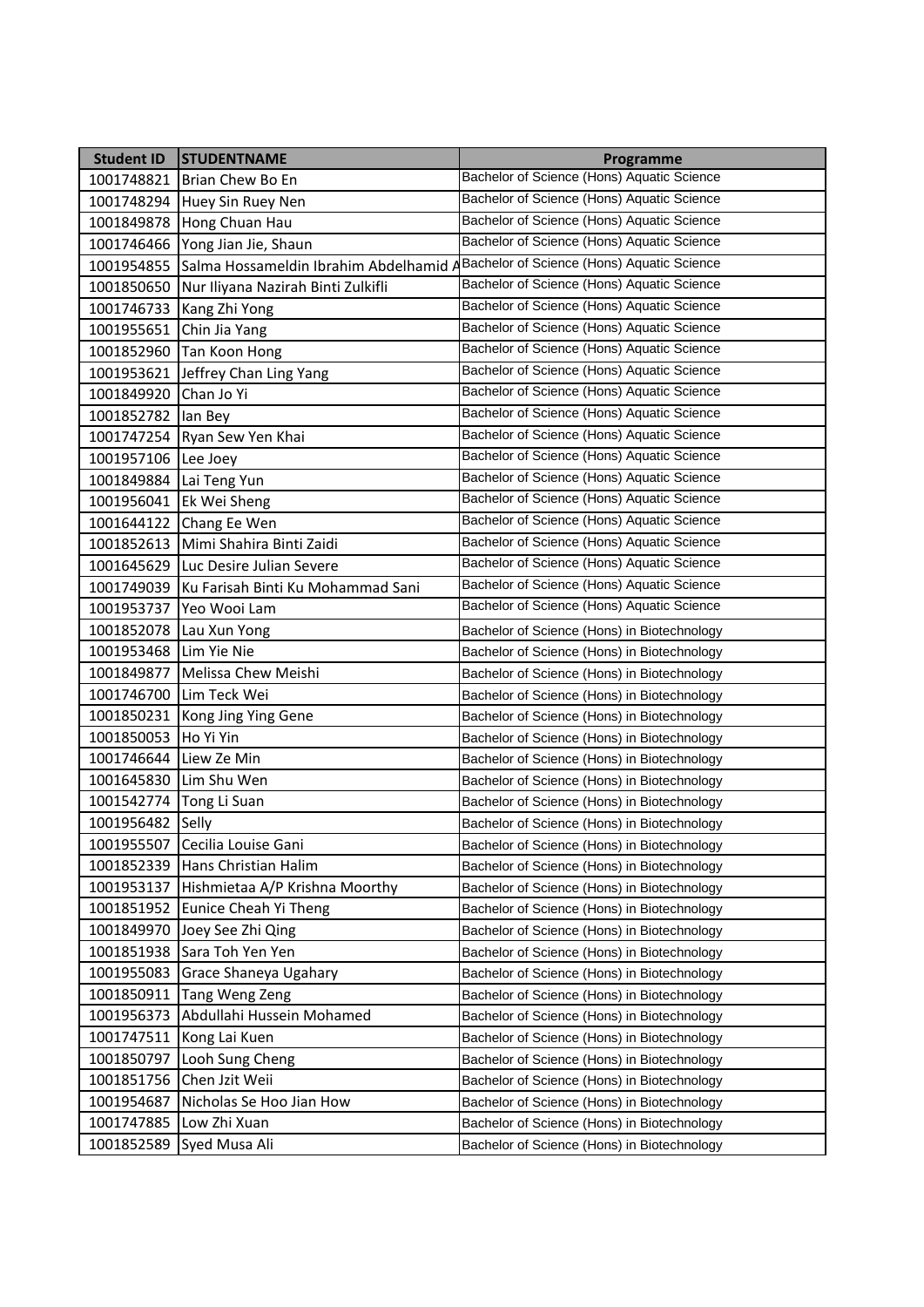| <b>Student ID</b> | <b>STUDENTNAME</b>                     | Programme                                   |
|-------------------|----------------------------------------|---------------------------------------------|
| 1001748821        | Brian Chew Bo En                       | Bachelor of Science (Hons) Aquatic Science  |
| 1001748294        | Huey Sin Ruey Nen                      | Bachelor of Science (Hons) Aquatic Science  |
| 1001849878        | Hong Chuan Hau                         | Bachelor of Science (Hons) Aquatic Science  |
| 1001746466        | Yong Jian Jie, Shaun                   | Bachelor of Science (Hons) Aquatic Science  |
| 1001954855        | Salma Hossameldin Ibrahim Abdelhamid / | Bachelor of Science (Hons) Aquatic Science  |
| 1001850650        | Nur Iliyana Nazirah Binti Zulkifli     | Bachelor of Science (Hons) Aquatic Science  |
| 1001746733        | Kang Zhi Yong                          | Bachelor of Science (Hons) Aquatic Science  |
| 1001955651        | Chin Jia Yang                          | Bachelor of Science (Hons) Aquatic Science  |
| 1001852960        | Tan Koon Hong                          | Bachelor of Science (Hons) Aquatic Science  |
| 1001953621        | Jeffrey Chan Ling Yang                 | Bachelor of Science (Hons) Aquatic Science  |
| 1001849920        | Chan Jo Yi                             | Bachelor of Science (Hons) Aquatic Science  |
| 1001852782        | lan Bey                                | Bachelor of Science (Hons) Aquatic Science  |
| 1001747254        | Ryan Sew Yen Khai                      | Bachelor of Science (Hons) Aquatic Science  |
| 1001957106        | Lee Joey                               | Bachelor of Science (Hons) Aquatic Science  |
| 1001849884        | Lai Teng Yun                           | Bachelor of Science (Hons) Aquatic Science  |
| 1001956041        | Ek Wei Sheng                           | Bachelor of Science (Hons) Aquatic Science  |
| 1001644122        | Chang Ee Wen                           | Bachelor of Science (Hons) Aquatic Science  |
| 1001852613        | Mimi Shahira Binti Zaidi               | Bachelor of Science (Hons) Aquatic Science  |
| 1001645629        | Luc Desire Julian Severe               | Bachelor of Science (Hons) Aquatic Science  |
| 1001749039        | Ku Farisah Binti Ku Mohammad Sani      | Bachelor of Science (Hons) Aquatic Science  |
| 1001953737        | Yeo Wooi Lam                           | Bachelor of Science (Hons) Aquatic Science  |
| 1001852078        | Lau Xun Yong                           | Bachelor of Science (Hons) in Biotechnology |
| 1001953468        | Lim Yie Nie                            | Bachelor of Science (Hons) in Biotechnology |
| 1001849877        | Melissa Chew Meishi                    | Bachelor of Science (Hons) in Biotechnology |
| 1001746700        | Lim Teck Wei                           | Bachelor of Science (Hons) in Biotechnology |
| 1001850231        | Kong Jing Ying Gene                    | Bachelor of Science (Hons) in Biotechnology |
| 1001850053        | Ho Yi Yin                              | Bachelor of Science (Hons) in Biotechnology |
| 1001746644        | Liew Ze Min                            | Bachelor of Science (Hons) in Biotechnology |
| 1001645830        | Lim Shu Wen                            | Bachelor of Science (Hons) in Biotechnology |
| 1001542774        | Tong Li Suan                           | Bachelor of Science (Hons) in Biotechnology |
| 1001956482 Selly  |                                        | Bachelor of Science (Hons) in Biotechnology |
|                   | 1001955507 Cecilia Louise Gani         | Bachelor of Science (Hons) in Biotechnology |
| 1001852339        | Hans Christian Halim                   | Bachelor of Science (Hons) in Biotechnology |
| 1001953137        | Hishmietaa A/P Krishna Moorthy         | Bachelor of Science (Hons) in Biotechnology |
| 1001851952        | Eunice Cheah Yi Theng                  | Bachelor of Science (Hons) in Biotechnology |
| 1001849970        | Joey See Zhi Qing                      | Bachelor of Science (Hons) in Biotechnology |
| 1001851938        | Sara Toh Yen Yen                       | Bachelor of Science (Hons) in Biotechnology |
| 1001955083        | Grace Shaneya Ugahary                  | Bachelor of Science (Hons) in Biotechnology |
| 1001850911        | Tang Weng Zeng                         | Bachelor of Science (Hons) in Biotechnology |
| 1001956373        | Abdullahi Hussein Mohamed              | Bachelor of Science (Hons) in Biotechnology |
| 1001747511        | Kong Lai Kuen                          | Bachelor of Science (Hons) in Biotechnology |
| 1001850797        | Looh Sung Cheng                        | Bachelor of Science (Hons) in Biotechnology |
| 1001851756        | Chen Jzit Weii                         | Bachelor of Science (Hons) in Biotechnology |
| 1001954687        | Nicholas Se Hoo Jian How               | Bachelor of Science (Hons) in Biotechnology |
| 1001747885        | Low Zhi Xuan                           | Bachelor of Science (Hons) in Biotechnology |
| 1001852589        | Syed Musa Ali                          | Bachelor of Science (Hons) in Biotechnology |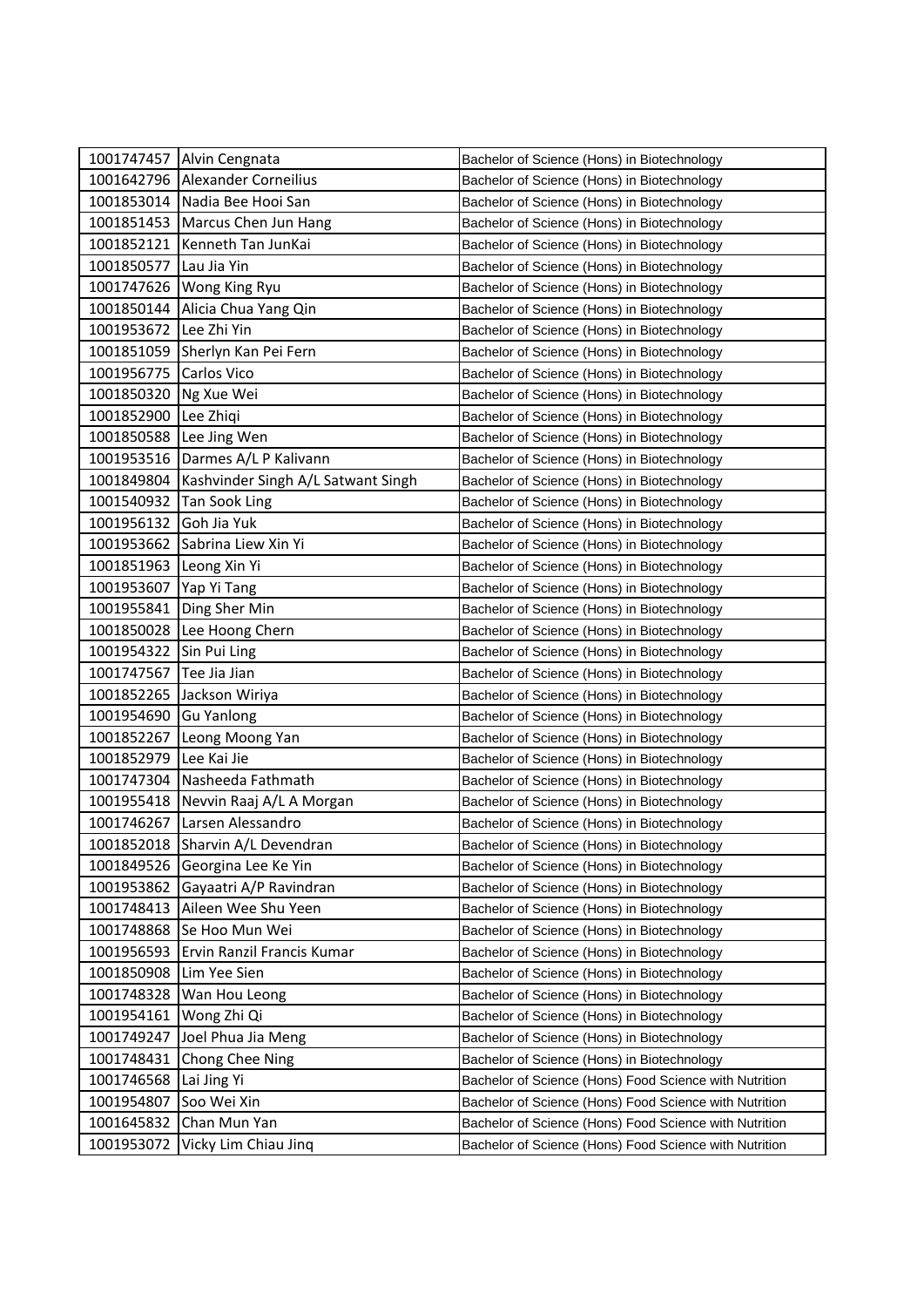|                         | 1001747457 Alvin Cengnata          | Bachelor of Science (Hons) in Biotechnology            |
|-------------------------|------------------------------------|--------------------------------------------------------|
|                         | 1001642796 Alexander Corneilius    | Bachelor of Science (Hons) in Biotechnology            |
|                         | 1001853014 Nadia Bee Hooi San      | Bachelor of Science (Hons) in Biotechnology            |
| 1001851453              | Marcus Chen Jun Hang               | Bachelor of Science (Hons) in Biotechnology            |
| 1001852121              | Kenneth Tan JunKai                 | Bachelor of Science (Hons) in Biotechnology            |
| 1001850577              | Lau Jia Yin                        | Bachelor of Science (Hons) in Biotechnology            |
|                         | 1001747626   Wong King Ryu         | Bachelor of Science (Hons) in Biotechnology            |
|                         | 1001850144 Alicia Chua Yang Qin    | Bachelor of Science (Hons) in Biotechnology            |
| 1001953672 Lee Zhi Yin  |                                    | Bachelor of Science (Hons) in Biotechnology            |
|                         | 1001851059 Sherlyn Kan Pei Fern    | Bachelor of Science (Hons) in Biotechnology            |
| 1001956775              | Carlos Vico                        | Bachelor of Science (Hons) in Biotechnology            |
| 1001850320              | Ng Xue Wei                         | Bachelor of Science (Hons) in Biotechnology            |
| 1001852900              | Lee Zhiqi                          | Bachelor of Science (Hons) in Biotechnology            |
| 1001850588              | Lee Jing Wen                       | Bachelor of Science (Hons) in Biotechnology            |
|                         | 1001953516 Darmes A/L P Kalivann   | Bachelor of Science (Hons) in Biotechnology            |
| 1001849804              | Kashvinder Singh A/L Satwant Singh | Bachelor of Science (Hons) in Biotechnology            |
| 1001540932              | Tan Sook Ling                      | Bachelor of Science (Hons) in Biotechnology            |
| 1001956132              | Goh Jia Yuk                        | Bachelor of Science (Hons) in Biotechnology            |
|                         | 1001953662 Sabrina Liew Xin Yi     | Bachelor of Science (Hons) in Biotechnology            |
| 1001851963 Leong Xin Yi |                                    | Bachelor of Science (Hons) in Biotechnology            |
| 1001953607              | Yap Yi Tang                        | Bachelor of Science (Hons) in Biotechnology            |
| 1001955841              | Ding Sher Min                      | Bachelor of Science (Hons) in Biotechnology            |
| 1001850028              | Lee Hoong Chern                    | Bachelor of Science (Hons) in Biotechnology            |
| 1001954322              | Sin Pui Ling                       | Bachelor of Science (Hons) in Biotechnology            |
| 1001747567              | Tee Jia Jian                       | Bachelor of Science (Hons) in Biotechnology            |
| 1001852265              | Jackson Wiriya                     | Bachelor of Science (Hons) in Biotechnology            |
| 1001954690              | <b>Gu Yanlong</b>                  | Bachelor of Science (Hons) in Biotechnology            |
| 1001852267              | Leong Moong Yan                    | Bachelor of Science (Hons) in Biotechnology            |
| 1001852979              | Lee Kai Jie                        | Bachelor of Science (Hons) in Biotechnology            |
| 1001747304              | Nasheeda Fathmath                  | Bachelor of Science (Hons) in Biotechnology            |
| 1001955418              | Nevvin Raaj A/L A Morgan           | Bachelor of Science (Hons) in Biotechnology            |
|                         | 1001746267 Larsen Alessandro       | Bachelor of Science (Hons) in Biotechnology            |
|                         | 1001852018 Sharvin A/L Devendran   | Bachelor of Science (Hons) in Biotechnology            |
| 1001849526              | Georgina Lee Ke Yin                | Bachelor of Science (Hons) in Biotechnology            |
| 1001953862              | Gayaatri A/P Ravindran             | Bachelor of Science (Hons) in Biotechnology            |
| 1001748413              | Aileen Wee Shu Yeen                | Bachelor of Science (Hons) in Biotechnology            |
| 1001748868              | Se Hoo Mun Wei                     | Bachelor of Science (Hons) in Biotechnology            |
| 1001956593              | Ervin Ranzil Francis Kumar         | Bachelor of Science (Hons) in Biotechnology            |
| 1001850908              | Lim Yee Sien                       | Bachelor of Science (Hons) in Biotechnology            |
| 1001748328              | Wan Hou Leong                      | Bachelor of Science (Hons) in Biotechnology            |
| 1001954161              | Wong Zhi Qi                        | Bachelor of Science (Hons) in Biotechnology            |
| 1001749247              | Joel Phua Jia Meng                 | Bachelor of Science (Hons) in Biotechnology            |
| 1001748431              | Chong Chee Ning                    | Bachelor of Science (Hons) in Biotechnology            |
| 1001746568              | Lai Jing Yi                        | Bachelor of Science (Hons) Food Science with Nutrition |
| 1001954807              | Soo Wei Xin                        | Bachelor of Science (Hons) Food Science with Nutrition |
| 1001645832              | Chan Mun Yan                       | Bachelor of Science (Hons) Food Science with Nutrition |
| 1001953072              | Vicky Lim Chiau Jinq               | Bachelor of Science (Hons) Food Science with Nutrition |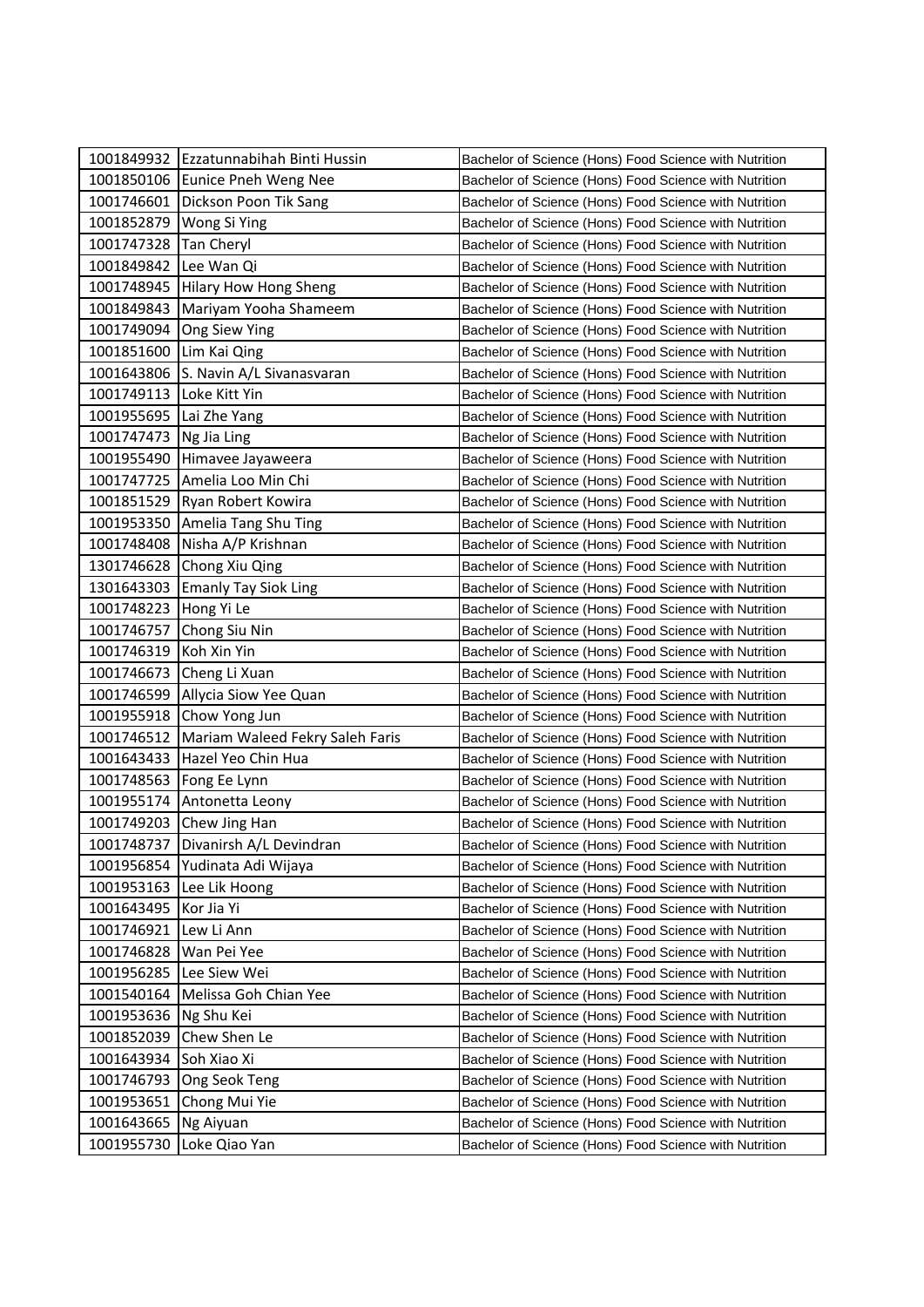|                            | 1001849932 Ezzatunnabihah Binti Hussin | Bachelor of Science (Hons) Food Science with Nutrition |
|----------------------------|----------------------------------------|--------------------------------------------------------|
|                            | 1001850106 Eunice Pneh Weng Nee        | Bachelor of Science (Hons) Food Science with Nutrition |
|                            | 1001746601 Dickson Poon Tik Sang       | Bachelor of Science (Hons) Food Science with Nutrition |
|                            | 1001852879 Wong Si Ying                | Bachelor of Science (Hons) Food Science with Nutrition |
| 1001747328                 | <b>Tan Cheryl</b>                      | Bachelor of Science (Hons) Food Science with Nutrition |
| 1001849842                 | Lee Wan Qi                             | Bachelor of Science (Hons) Food Science with Nutrition |
|                            | 1001748945 Hilary How Hong Sheng       | Bachelor of Science (Hons) Food Science with Nutrition |
| 1001849843                 | Mariyam Yooha Shameem                  | Bachelor of Science (Hons) Food Science with Nutrition |
|                            | 1001749094 Ong Siew Ying               | Bachelor of Science (Hons) Food Science with Nutrition |
| 1001851600                 | Lim Kai Qing                           | Bachelor of Science (Hons) Food Science with Nutrition |
| 1001643806                 | S. Navin A/L Sivanasvaran              | Bachelor of Science (Hons) Food Science with Nutrition |
| 1001749113   Loke Kitt Yin |                                        | Bachelor of Science (Hons) Food Science with Nutrition |
| 1001955695                 | Lai Zhe Yang                           | Bachelor of Science (Hons) Food Science with Nutrition |
| 1001747473   Ng Jia Ling   |                                        | Bachelor of Science (Hons) Food Science with Nutrition |
| 1001955490                 | Himavee Jayaweera                      | Bachelor of Science (Hons) Food Science with Nutrition |
|                            | 1001747725 Amelia Loo Min Chi          | Bachelor of Science (Hons) Food Science with Nutrition |
|                            | 1001851529 Ryan Robert Kowira          | Bachelor of Science (Hons) Food Science with Nutrition |
| 1001953350                 | Amelia Tang Shu Ting                   | Bachelor of Science (Hons) Food Science with Nutrition |
| 1001748408                 | Nisha A/P Krishnan                     | Bachelor of Science (Hons) Food Science with Nutrition |
|                            | 1301746628 Chong Xiu Qing              | Bachelor of Science (Hons) Food Science with Nutrition |
| 1301643303                 | <b>Emanly Tay Siok Ling</b>            | Bachelor of Science (Hons) Food Science with Nutrition |
| 1001748223                 | Hong Yi Le                             | Bachelor of Science (Hons) Food Science with Nutrition |
| 1001746757                 | Chong Siu Nin                          | Bachelor of Science (Hons) Food Science with Nutrition |
| 1001746319                 | Koh Xin Yin                            | Bachelor of Science (Hons) Food Science with Nutrition |
|                            | 1001746673 Cheng Li Xuan               | Bachelor of Science (Hons) Food Science with Nutrition |
| 1001746599                 | Allycia Siow Yee Quan                  | Bachelor of Science (Hons) Food Science with Nutrition |
| 1001955918                 | Chow Yong Jun                          | Bachelor of Science (Hons) Food Science with Nutrition |
| 1001746512                 | Mariam Waleed Fekry Saleh Faris        | Bachelor of Science (Hons) Food Science with Nutrition |
|                            | 1001643433 Hazel Yeo Chin Hua          | Bachelor of Science (Hons) Food Science with Nutrition |
|                            | 1001748563   Fong Ee Lynn              | Bachelor of Science (Hons) Food Science with Nutrition |
|                            | 1001955174 Antonetta Leony             | Bachelor of Science (Hons) Food Science with Nutrition |
|                            | 1001749203 Chew Jing Han               | Bachelor of Science (Hons) Food Science with Nutrition |
|                            | 1001748737   Divanirsh A/L Devindran   | Bachelor of Science (Hons) Food Science with Nutrition |
| 1001956854                 | Yudinata Adi Wijaya                    | Bachelor of Science (Hons) Food Science with Nutrition |
| 1001953163                 | Lee Lik Hoong                          | Bachelor of Science (Hons) Food Science with Nutrition |
| 1001643495                 | Kor Jia Yi                             | Bachelor of Science (Hons) Food Science with Nutrition |
| 1001746921                 | Lew Li Ann                             | Bachelor of Science (Hons) Food Science with Nutrition |
| 1001746828                 | Wan Pei Yee                            | Bachelor of Science (Hons) Food Science with Nutrition |
| 1001956285                 | Lee Siew Wei                           | Bachelor of Science (Hons) Food Science with Nutrition |
| 1001540164                 | Melissa Goh Chian Yee                  | Bachelor of Science (Hons) Food Science with Nutrition |
| 1001953636                 | Ng Shu Kei                             | Bachelor of Science (Hons) Food Science with Nutrition |
| 1001852039                 | Chew Shen Le                           | Bachelor of Science (Hons) Food Science with Nutrition |
| 1001643934                 | Soh Xiao Xi                            | Bachelor of Science (Hons) Food Science with Nutrition |
| 1001746793                 | Ong Seok Teng                          | Bachelor of Science (Hons) Food Science with Nutrition |
| 1001953651                 | Chong Mui Yie                          | Bachelor of Science (Hons) Food Science with Nutrition |
| 1001643665                 | Ng Aiyuan                              | Bachelor of Science (Hons) Food Science with Nutrition |
| 1001955730                 | Loke Qiao Yan                          | Bachelor of Science (Hons) Food Science with Nutrition |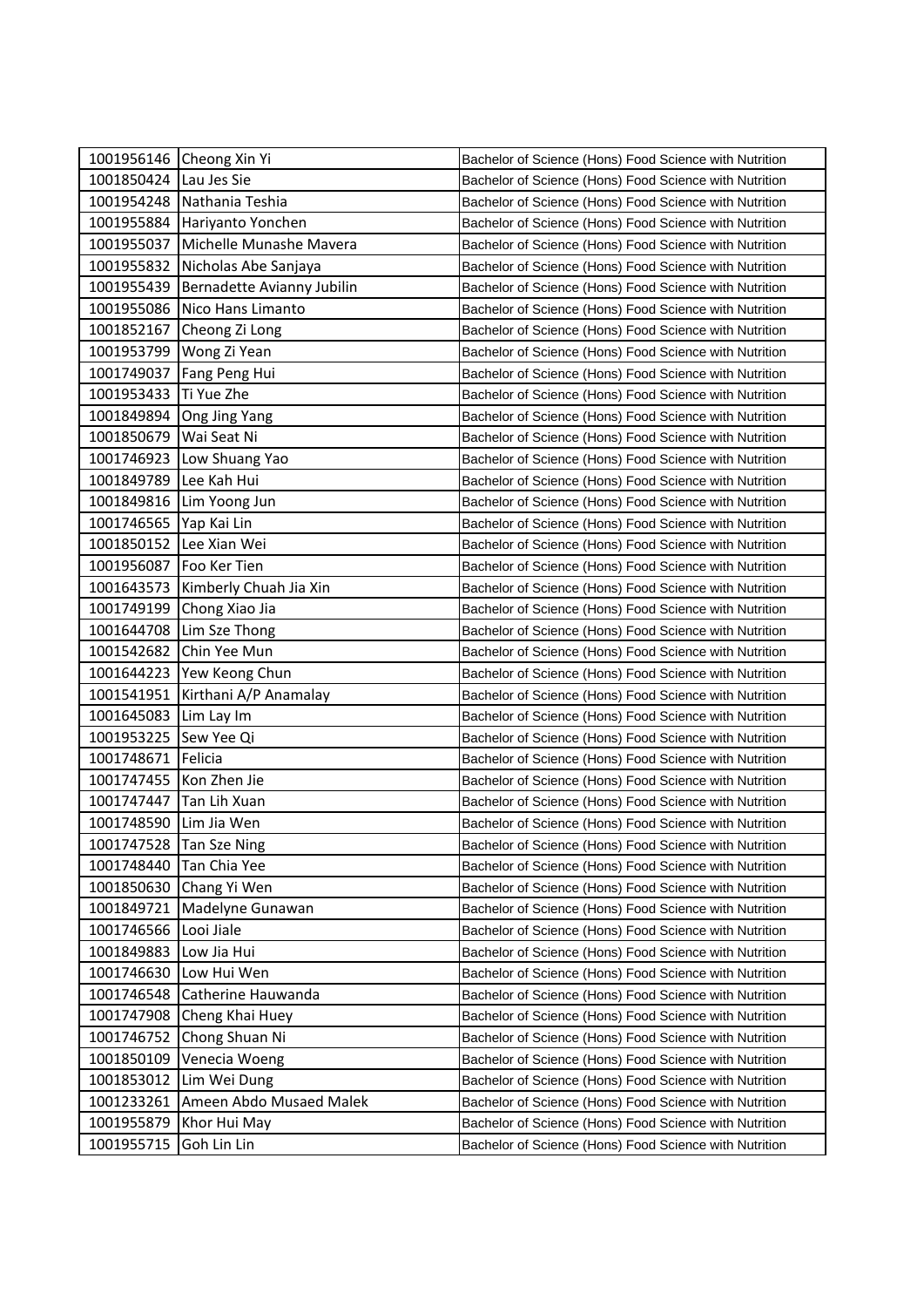|                         | 1001956146 Cheong Xin Yi   | Bachelor of Science (Hons) Food Science with Nutrition |
|-------------------------|----------------------------|--------------------------------------------------------|
| 1001850424              | Lau Jes Sie                | Bachelor of Science (Hons) Food Science with Nutrition |
| 1001954248              | Nathania Teshia            | Bachelor of Science (Hons) Food Science with Nutrition |
| 1001955884              | Hariyanto Yonchen          | Bachelor of Science (Hons) Food Science with Nutrition |
| 1001955037              | Michelle Munashe Mavera    | Bachelor of Science (Hons) Food Science with Nutrition |
| 1001955832              | Nicholas Abe Sanjaya       | Bachelor of Science (Hons) Food Science with Nutrition |
| 1001955439              | Bernadette Avianny Jubilin | Bachelor of Science (Hons) Food Science with Nutrition |
| 1001955086              | Nico Hans Limanto          | Bachelor of Science (Hons) Food Science with Nutrition |
| 1001852167              | Cheong Zi Long             | Bachelor of Science (Hons) Food Science with Nutrition |
|                         | 1001953799 Wong Zi Yean    | Bachelor of Science (Hons) Food Science with Nutrition |
| 1001749037              | Fang Peng Hui              | Bachelor of Science (Hons) Food Science with Nutrition |
| 1001953433              | Ti Yue Zhe                 | Bachelor of Science (Hons) Food Science with Nutrition |
| 1001849894              | Ong Jing Yang              | Bachelor of Science (Hons) Food Science with Nutrition |
| 1001850679              | Wai Seat Ni                | Bachelor of Science (Hons) Food Science with Nutrition |
| 1001746923              | Low Shuang Yao             | Bachelor of Science (Hons) Food Science with Nutrition |
| 1001849789              | Lee Kah Hui                | Bachelor of Science (Hons) Food Science with Nutrition |
| 1001849816              | Lim Yoong Jun              | Bachelor of Science (Hons) Food Science with Nutrition |
| 1001746565              | Yap Kai Lin                | Bachelor of Science (Hons) Food Science with Nutrition |
| 1001850152              | Lee Xian Wei               | Bachelor of Science (Hons) Food Science with Nutrition |
| 1001956087              | Foo Ker Tien               | Bachelor of Science (Hons) Food Science with Nutrition |
| 1001643573              | Kimberly Chuah Jia Xin     | Bachelor of Science (Hons) Food Science with Nutrition |
| 1001749199              | Chong Xiao Jia             | Bachelor of Science (Hons) Food Science with Nutrition |
| 1001644708              | Lim Sze Thong              | Bachelor of Science (Hons) Food Science with Nutrition |
| 1001542682              | Chin Yee Mun               | Bachelor of Science (Hons) Food Science with Nutrition |
|                         | 1001644223 Yew Keong Chun  | Bachelor of Science (Hons) Food Science with Nutrition |
| 1001541951              | Kirthani A/P Anamalay      | Bachelor of Science (Hons) Food Science with Nutrition |
| 1001645083              | Lim Lay Im                 | Bachelor of Science (Hons) Food Science with Nutrition |
| 1001953225              | Sew Yee Qi                 | Bachelor of Science (Hons) Food Science with Nutrition |
| 1001748671              | Felicia                    | Bachelor of Science (Hons) Food Science with Nutrition |
| 1001747455              | Kon Zhen Jie               | Bachelor of Science (Hons) Food Science with Nutrition |
| 1001747447              | Tan Lih Xuan               | Bachelor of Science (Hons) Food Science with Nutrition |
| 1001748590 Lim Jia Wen  |                            | Bachelor of Science (Hons) Food Science with Nutrition |
| 1001747528 Tan Sze Ning |                            | Bachelor of Science (Hons) Food Science with Nutrition |
| 1001748440              | Tan Chia Yee               | Bachelor of Science (Hons) Food Science with Nutrition |
| 1001850630              | Chang Yi Wen               | Bachelor of Science (Hons) Food Science with Nutrition |
| 1001849721              | Madelyne Gunawan           | Bachelor of Science (Hons) Food Science with Nutrition |
| 1001746566              | Looi Jiale                 | Bachelor of Science (Hons) Food Science with Nutrition |
| 1001849883              | Low Jia Hui                | Bachelor of Science (Hons) Food Science with Nutrition |
| 1001746630              | Low Hui Wen                | Bachelor of Science (Hons) Food Science with Nutrition |
| 1001746548              | Catherine Hauwanda         | Bachelor of Science (Hons) Food Science with Nutrition |
| 1001747908              | Cheng Khai Huey            | Bachelor of Science (Hons) Food Science with Nutrition |
| 1001746752              | Chong Shuan Ni             | Bachelor of Science (Hons) Food Science with Nutrition |
| 1001850109              | Venecia Woeng              | Bachelor of Science (Hons) Food Science with Nutrition |
| 1001853012              | Lim Wei Dung               | Bachelor of Science (Hons) Food Science with Nutrition |
| 1001233261              | Ameen Abdo Musaed Malek    | Bachelor of Science (Hons) Food Science with Nutrition |
| 1001955879              | Khor Hui May               | Bachelor of Science (Hons) Food Science with Nutrition |
| 1001955715              | Goh Lin Lin                | Bachelor of Science (Hons) Food Science with Nutrition |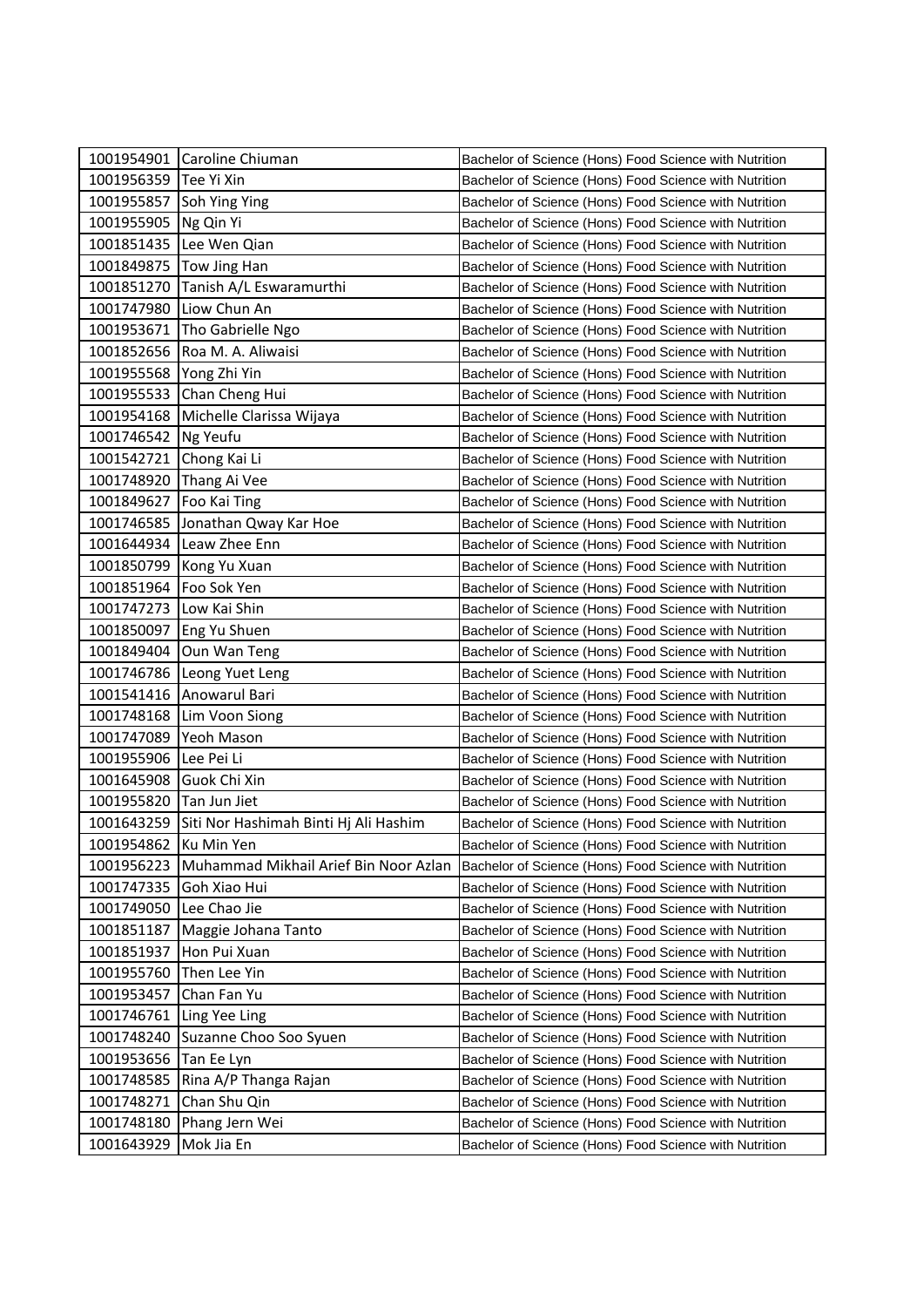|                       | 1001954901 Caroline Chiuman                      | Bachelor of Science (Hons) Food Science with Nutrition |
|-----------------------|--------------------------------------------------|--------------------------------------------------------|
| 1001956359 Tee Yi Xin |                                                  | Bachelor of Science (Hons) Food Science with Nutrition |
| 1001955857            | Soh Ying Ying                                    | Bachelor of Science (Hons) Food Science with Nutrition |
| 1001955905            | Ng Qin Yi                                        | Bachelor of Science (Hons) Food Science with Nutrition |
| 1001851435            | Lee Wen Qian                                     | Bachelor of Science (Hons) Food Science with Nutrition |
| 1001849875            | Tow Jing Han                                     | Bachelor of Science (Hons) Food Science with Nutrition |
| 1001851270            | Tanish A/L Eswaramurthi                          | Bachelor of Science (Hons) Food Science with Nutrition |
| 1001747980            | Liow Chun An                                     | Bachelor of Science (Hons) Food Science with Nutrition |
| 1001953671            | Tho Gabrielle Ngo                                | Bachelor of Science (Hons) Food Science with Nutrition |
| 1001852656            | Roa M. A. Aliwaisi                               | Bachelor of Science (Hons) Food Science with Nutrition |
| 1001955568            | Yong Zhi Yin                                     | Bachelor of Science (Hons) Food Science with Nutrition |
|                       | 1001955533 Chan Cheng Hui                        | Bachelor of Science (Hons) Food Science with Nutrition |
| 1001954168            | Michelle Clarissa Wijaya                         | Bachelor of Science (Hons) Food Science with Nutrition |
| 1001746542            | Ng Yeufu                                         | Bachelor of Science (Hons) Food Science with Nutrition |
| 1001542721            | Chong Kai Li                                     | Bachelor of Science (Hons) Food Science with Nutrition |
| 1001748920            | Thang Ai Vee                                     | Bachelor of Science (Hons) Food Science with Nutrition |
| 1001849627            | Foo Kai Ting                                     | Bachelor of Science (Hons) Food Science with Nutrition |
| 1001746585            | Jonathan Qway Kar Hoe                            | Bachelor of Science (Hons) Food Science with Nutrition |
| 1001644934            | Leaw Zhee Enn                                    | Bachelor of Science (Hons) Food Science with Nutrition |
|                       | 1001850799 Kong Yu Xuan                          | Bachelor of Science (Hons) Food Science with Nutrition |
| 1001851964            | Foo Sok Yen                                      | Bachelor of Science (Hons) Food Science with Nutrition |
| 1001747273            | Low Kai Shin                                     | Bachelor of Science (Hons) Food Science with Nutrition |
| 1001850097            | Eng Yu Shuen                                     | Bachelor of Science (Hons) Food Science with Nutrition |
| 1001849404            | Oun Wan Teng                                     | Bachelor of Science (Hons) Food Science with Nutrition |
| 1001746786            | Leong Yuet Leng                                  | Bachelor of Science (Hons) Food Science with Nutrition |
| 1001541416            | Anowarul Bari                                    | Bachelor of Science (Hons) Food Science with Nutrition |
| 1001748168            | Lim Voon Siong                                   | Bachelor of Science (Hons) Food Science with Nutrition |
| 1001747089            | Yeoh Mason                                       | Bachelor of Science (Hons) Food Science with Nutrition |
| 1001955906            | Lee Pei Li                                       | Bachelor of Science (Hons) Food Science with Nutrition |
| 1001645908            | Guok Chi Xin                                     | Bachelor of Science (Hons) Food Science with Nutrition |
| 1001955820            | Tan Jun Jiet                                     | Bachelor of Science (Hons) Food Science with Nutrition |
|                       | 1001643259 Siti Nor Hashimah Binti Hj Ali Hashim | Bachelor of Science (Hons) Food Science with Nutrition |
| 1001954862 Ku Min Yen |                                                  | Bachelor of Science (Hons) Food Science with Nutrition |
| 1001956223            | Muhammad Mikhail Arief Bin Noor Azlan            | Bachelor of Science (Hons) Food Science with Nutrition |
| 1001747335            | Goh Xiao Hui                                     | Bachelor of Science (Hons) Food Science with Nutrition |
| 1001749050            | Lee Chao Jie                                     | Bachelor of Science (Hons) Food Science with Nutrition |
| 1001851187            | Maggie Johana Tanto                              | Bachelor of Science (Hons) Food Science with Nutrition |
| 1001851937            | Hon Pui Xuan                                     | Bachelor of Science (Hons) Food Science with Nutrition |
| 1001955760            | Then Lee Yin                                     | Bachelor of Science (Hons) Food Science with Nutrition |
| 1001953457            | Chan Fan Yu                                      | Bachelor of Science (Hons) Food Science with Nutrition |
| 1001746761            | Ling Yee Ling                                    | Bachelor of Science (Hons) Food Science with Nutrition |
| 1001748240            | Suzanne Choo Soo Syuen                           | Bachelor of Science (Hons) Food Science with Nutrition |
| 1001953656            | Tan Ee Lyn                                       | Bachelor of Science (Hons) Food Science with Nutrition |
| 1001748585            | Rina A/P Thanga Rajan                            | Bachelor of Science (Hons) Food Science with Nutrition |
| 1001748271            | Chan Shu Qin                                     | Bachelor of Science (Hons) Food Science with Nutrition |
| 1001748180            | Phang Jern Wei                                   | Bachelor of Science (Hons) Food Science with Nutrition |
| 1001643929            | Mok Jia En                                       | Bachelor of Science (Hons) Food Science with Nutrition |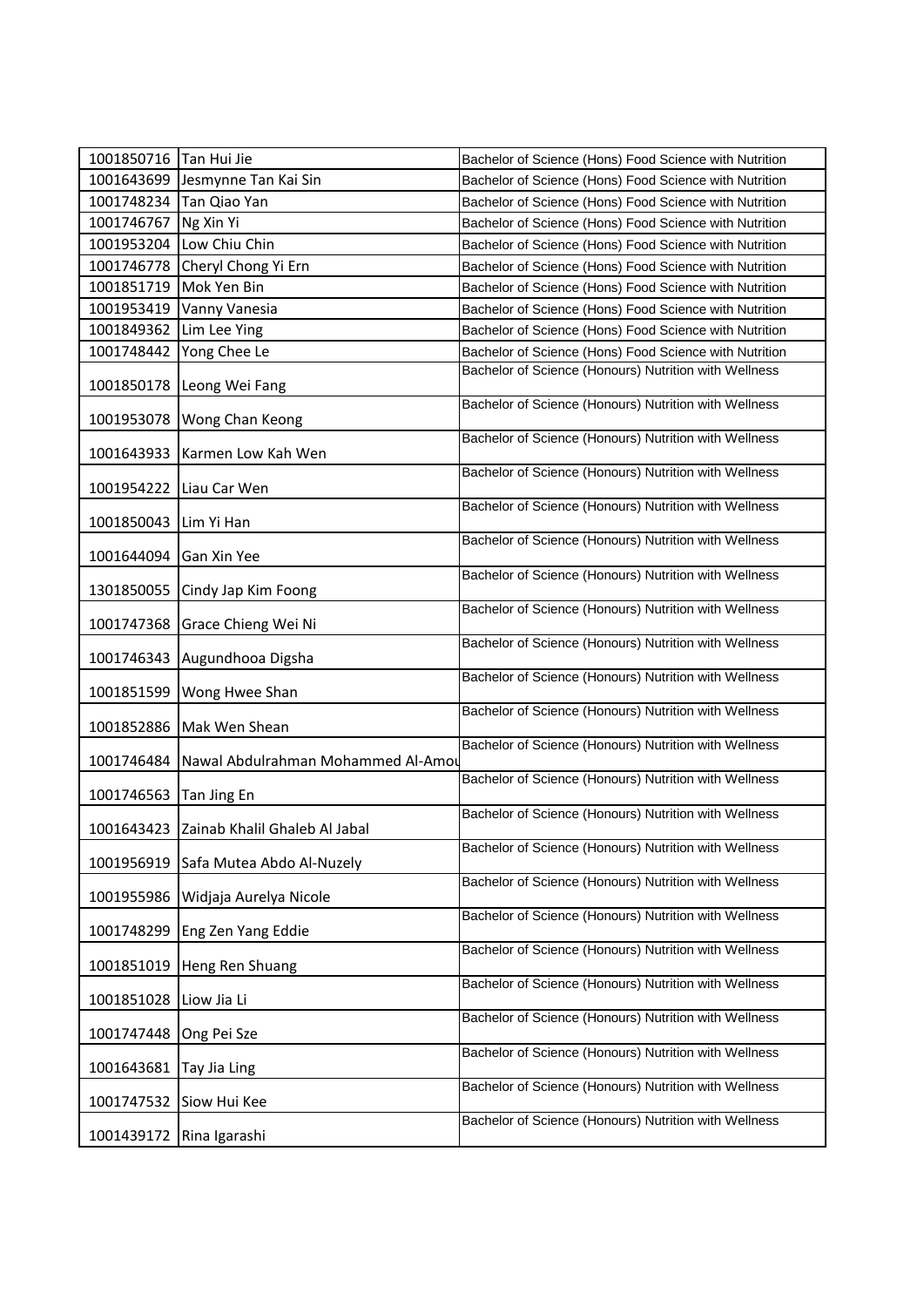| 1001850716 | Tan Hui Jie                              | Bachelor of Science (Hons) Food Science with Nutrition |
|------------|------------------------------------------|--------------------------------------------------------|
| 1001643699 | Jesmynne Tan Kai Sin                     | Bachelor of Science (Hons) Food Science with Nutrition |
| 1001748234 | Tan Qiao Yan                             | Bachelor of Science (Hons) Food Science with Nutrition |
| 1001746767 | Ng Xin Yi                                | Bachelor of Science (Hons) Food Science with Nutrition |
| 1001953204 | Low Chiu Chin                            | Bachelor of Science (Hons) Food Science with Nutrition |
| 1001746778 | Cheryl Chong Yi Ern                      | Bachelor of Science (Hons) Food Science with Nutrition |
| 1001851719 | Mok Yen Bin                              | Bachelor of Science (Hons) Food Science with Nutrition |
| 1001953419 | Vanny Vanesia                            | Bachelor of Science (Hons) Food Science with Nutrition |
| 1001849362 | Lim Lee Ying                             | Bachelor of Science (Hons) Food Science with Nutrition |
| 1001748442 | Yong Chee Le                             | Bachelor of Science (Hons) Food Science with Nutrition |
| 1001850178 | Leong Wei Fang                           | Bachelor of Science (Honours) Nutrition with Wellness  |
| 1001953078 | Wong Chan Keong                          | Bachelor of Science (Honours) Nutrition with Wellness  |
| 1001643933 | Karmen Low Kah Wen                       | Bachelor of Science (Honours) Nutrition with Wellness  |
| 1001954222 | Liau Car Wen                             | Bachelor of Science (Honours) Nutrition with Wellness  |
| 1001850043 | Lim Yi Han                               | Bachelor of Science (Honours) Nutrition with Wellness  |
| 1001644094 | Gan Xin Yee                              | Bachelor of Science (Honours) Nutrition with Wellness  |
| 1301850055 | Cindy Jap Kim Foong                      | Bachelor of Science (Honours) Nutrition with Wellness  |
| 1001747368 | Grace Chieng Wei Ni                      | Bachelor of Science (Honours) Nutrition with Wellness  |
| 1001746343 | Augundhooa Digsha                        | Bachelor of Science (Honours) Nutrition with Wellness  |
| 1001851599 | Wong Hwee Shan                           | Bachelor of Science (Honours) Nutrition with Wellness  |
| 1001852886 | Mak Wen Shean                            | Bachelor of Science (Honours) Nutrition with Wellness  |
| 1001746484 | Nawal Abdulrahman Mohammed Al-Amou       | Bachelor of Science (Honours) Nutrition with Wellness  |
| 1001746563 | Tan Jing En                              | Bachelor of Science (Honours) Nutrition with Wellness  |
|            | 1001643423 Zainab Khalil Ghaleb Al Jabal | Bachelor of Science (Honours) Nutrition with Wellness  |
| 1001956919 | Safa Mutea Abdo Al-Nuzely                | Bachelor of Science (Honours) Nutrition with Wellness  |
| 1001955986 | Widjaja Aurelya Nicole                   | Bachelor of Science (Honours) Nutrition with Wellness  |
| 1001748299 | Eng Zen Yang Eddie                       | Bachelor of Science (Honours) Nutrition with Wellness  |
| 1001851019 | Heng Ren Shuang                          | Bachelor of Science (Honours) Nutrition with Wellness  |
| 1001851028 | Liow Jia Li                              | Bachelor of Science (Honours) Nutrition with Wellness  |
| 1001747448 | Ong Pei Sze                              | Bachelor of Science (Honours) Nutrition with Wellness  |
| 1001643681 | Tay Jia Ling                             | Bachelor of Science (Honours) Nutrition with Wellness  |
| 1001747532 | Siow Hui Kee                             | Bachelor of Science (Honours) Nutrition with Wellness  |
| 1001439172 | Rina Igarashi                            | Bachelor of Science (Honours) Nutrition with Wellness  |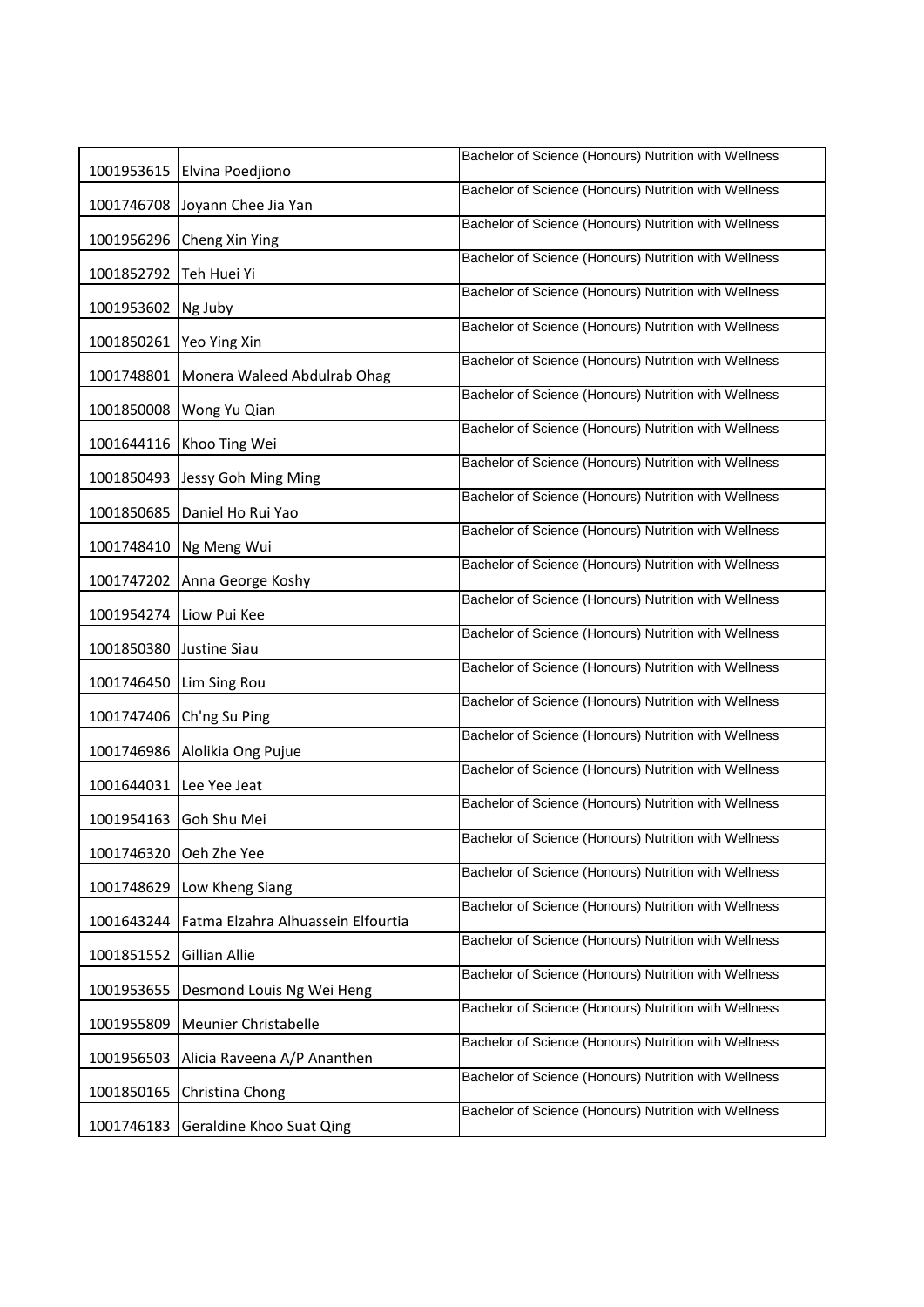|            | 1001953615 Elvina Poedjiono        | Bachelor of Science (Honours) Nutrition with Wellness |
|------------|------------------------------------|-------------------------------------------------------|
| 1001746708 | Joyann Chee Jia Yan                | Bachelor of Science (Honours) Nutrition with Wellness |
|            | 1001956296 Cheng Xin Ying          | Bachelor of Science (Honours) Nutrition with Wellness |
| 1001852792 | Teh Huei Yi                        | Bachelor of Science (Honours) Nutrition with Wellness |
| 1001953602 | Ng Juby                            | Bachelor of Science (Honours) Nutrition with Wellness |
| 1001850261 | Yeo Ying Xin                       | Bachelor of Science (Honours) Nutrition with Wellness |
| 1001748801 | Monera Waleed Abdulrab Ohag        | Bachelor of Science (Honours) Nutrition with Wellness |
| 1001850008 | Wong Yu Qian                       | Bachelor of Science (Honours) Nutrition with Wellness |
| 1001644116 | Khoo Ting Wei                      | Bachelor of Science (Honours) Nutrition with Wellness |
| 1001850493 | Jessy Goh Ming Ming                | Bachelor of Science (Honours) Nutrition with Wellness |
| 1001850685 | Daniel Ho Rui Yao                  | Bachelor of Science (Honours) Nutrition with Wellness |
| 1001748410 | Ng Meng Wui                        | Bachelor of Science (Honours) Nutrition with Wellness |
| 1001747202 | Anna George Koshy                  | Bachelor of Science (Honours) Nutrition with Wellness |
| 1001954274 | Liow Pui Kee                       | Bachelor of Science (Honours) Nutrition with Wellness |
| 1001850380 | Justine Siau                       | Bachelor of Science (Honours) Nutrition with Wellness |
| 1001746450 | Lim Sing Rou                       | Bachelor of Science (Honours) Nutrition with Wellness |
| 1001747406 | Ch'ng Su Ping                      | Bachelor of Science (Honours) Nutrition with Wellness |
| 1001746986 | Alolikia Ong Pujue                 | Bachelor of Science (Honours) Nutrition with Wellness |
| 1001644031 | Lee Yee Jeat                       | Bachelor of Science (Honours) Nutrition with Wellness |
| 1001954163 | Goh Shu Mei                        | Bachelor of Science (Honours) Nutrition with Wellness |
| 1001746320 | Oeh Zhe Yee                        | Bachelor of Science (Honours) Nutrition with Wellness |
| 1001748629 | Low Kheng Siang                    | Bachelor of Science (Honours) Nutrition with Wellness |
| 1001643244 | Fatma Elzahra Alhuassein Elfourtia | Bachelor of Science (Honours) Nutrition with Wellness |
| 1001851552 | Gillian Allie                      | Bachelor of Science (Honours) Nutrition with Wellness |
| 1001953655 | Desmond Louis Ng Wei Heng          | Bachelor of Science (Honours) Nutrition with Wellness |
| 1001955809 | Meunier Christabelle               | Bachelor of Science (Honours) Nutrition with Wellness |
| 1001956503 | Alicia Raveena A/P Ananthen        | Bachelor of Science (Honours) Nutrition with Wellness |
| 1001850165 | Christina Chong                    | Bachelor of Science (Honours) Nutrition with Wellness |
| 1001746183 | Geraldine Khoo Suat Qing           | Bachelor of Science (Honours) Nutrition with Wellness |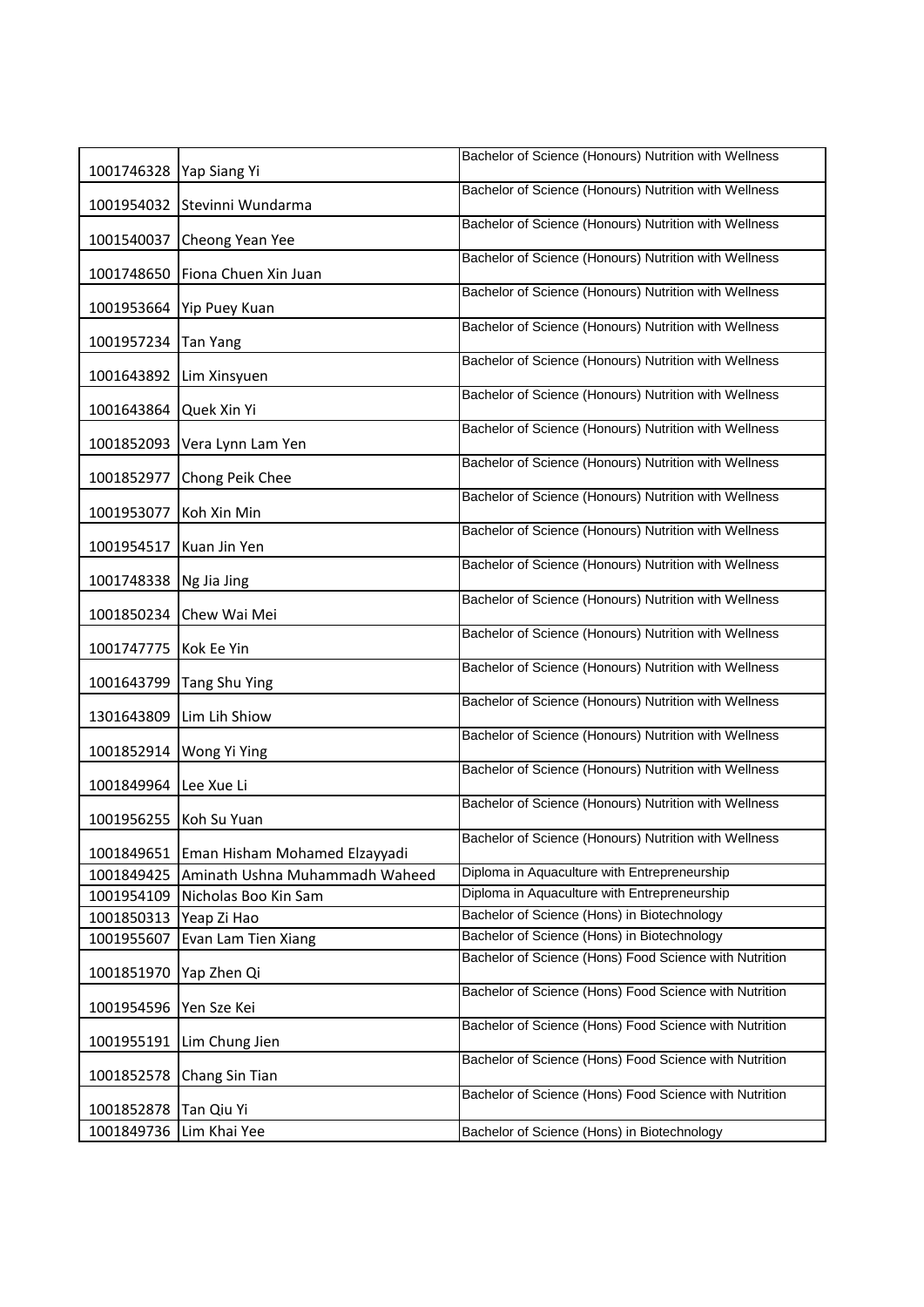| 1001746328   Yap Siang Yi |                                | Bachelor of Science (Honours) Nutrition with Wellness  |
|---------------------------|--------------------------------|--------------------------------------------------------|
| 1001954032                | Stevinni Wundarma              | Bachelor of Science (Honours) Nutrition with Wellness  |
| 1001540037                | Cheong Yean Yee                | Bachelor of Science (Honours) Nutrition with Wellness  |
| 1001748650                | Fiona Chuen Xin Juan           | Bachelor of Science (Honours) Nutrition with Wellness  |
|                           |                                | Bachelor of Science (Honours) Nutrition with Wellness  |
| 1001953664                | Yip Puey Kuan                  | Bachelor of Science (Honours) Nutrition with Wellness  |
| 1001957234                | Tan Yang                       | Bachelor of Science (Honours) Nutrition with Wellness  |
| 1001643892                | Lim Xinsyuen                   |                                                        |
| 1001643864                | Quek Xin Yi                    | Bachelor of Science (Honours) Nutrition with Wellness  |
| 1001852093                | Vera Lynn Lam Yen              | Bachelor of Science (Honours) Nutrition with Wellness  |
| 1001852977                | Chong Peik Chee                | Bachelor of Science (Honours) Nutrition with Wellness  |
| 1001953077                | Koh Xin Min                    | Bachelor of Science (Honours) Nutrition with Wellness  |
| 1001954517                | Kuan Jin Yen                   | Bachelor of Science (Honours) Nutrition with Wellness  |
| 1001748338                | Ng Jia Jing                    | Bachelor of Science (Honours) Nutrition with Wellness  |
| 1001850234                | Chew Wai Mei                   | Bachelor of Science (Honours) Nutrition with Wellness  |
| 1001747775                | Kok Ee Yin                     | Bachelor of Science (Honours) Nutrition with Wellness  |
| 1001643799                | Tang Shu Ying                  | Bachelor of Science (Honours) Nutrition with Wellness  |
| 1301643809                | Lim Lih Shiow                  | Bachelor of Science (Honours) Nutrition with Wellness  |
| 1001852914                | Wong Yi Ying                   | Bachelor of Science (Honours) Nutrition with Wellness  |
| 1001849964                | Lee Xue Li                     | Bachelor of Science (Honours) Nutrition with Wellness  |
| 1001956255 Koh Su Yuan    |                                | Bachelor of Science (Honours) Nutrition with Wellness  |
| 1001849651                | Eman Hisham Mohamed Elzayyadi  | Bachelor of Science (Honours) Nutrition with Wellness  |
| 1001849425                | Aminath Ushna Muhammadh Waheed | Diploma in Aquaculture with Entrepreneurship           |
| 1001954109                | Nicholas Boo Kin Sam           | Diploma in Aquaculture with Entrepreneurship           |
| 1001850313                | Yeap Zi Hao                    | Bachelor of Science (Hons) in Biotechnology            |
| 1001955607                | Evan Lam Tien Xiang            | Bachelor of Science (Hons) in Biotechnology            |
| 1001851970                | Yap Zhen Qi                    | Bachelor of Science (Hons) Food Science with Nutrition |
| 1001954596                | Yen Sze Kei                    | Bachelor of Science (Hons) Food Science with Nutrition |
| 1001955191                | Lim Chung Jien                 | Bachelor of Science (Hons) Food Science with Nutrition |
| 1001852578                | Chang Sin Tian                 | Bachelor of Science (Hons) Food Science with Nutrition |
|                           |                                | Bachelor of Science (Hons) Food Science with Nutrition |
| 1001852878<br>1001849736  | Tan Qiu Yi<br>Lim Khai Yee     | Bachelor of Science (Hons) in Biotechnology            |
|                           |                                |                                                        |